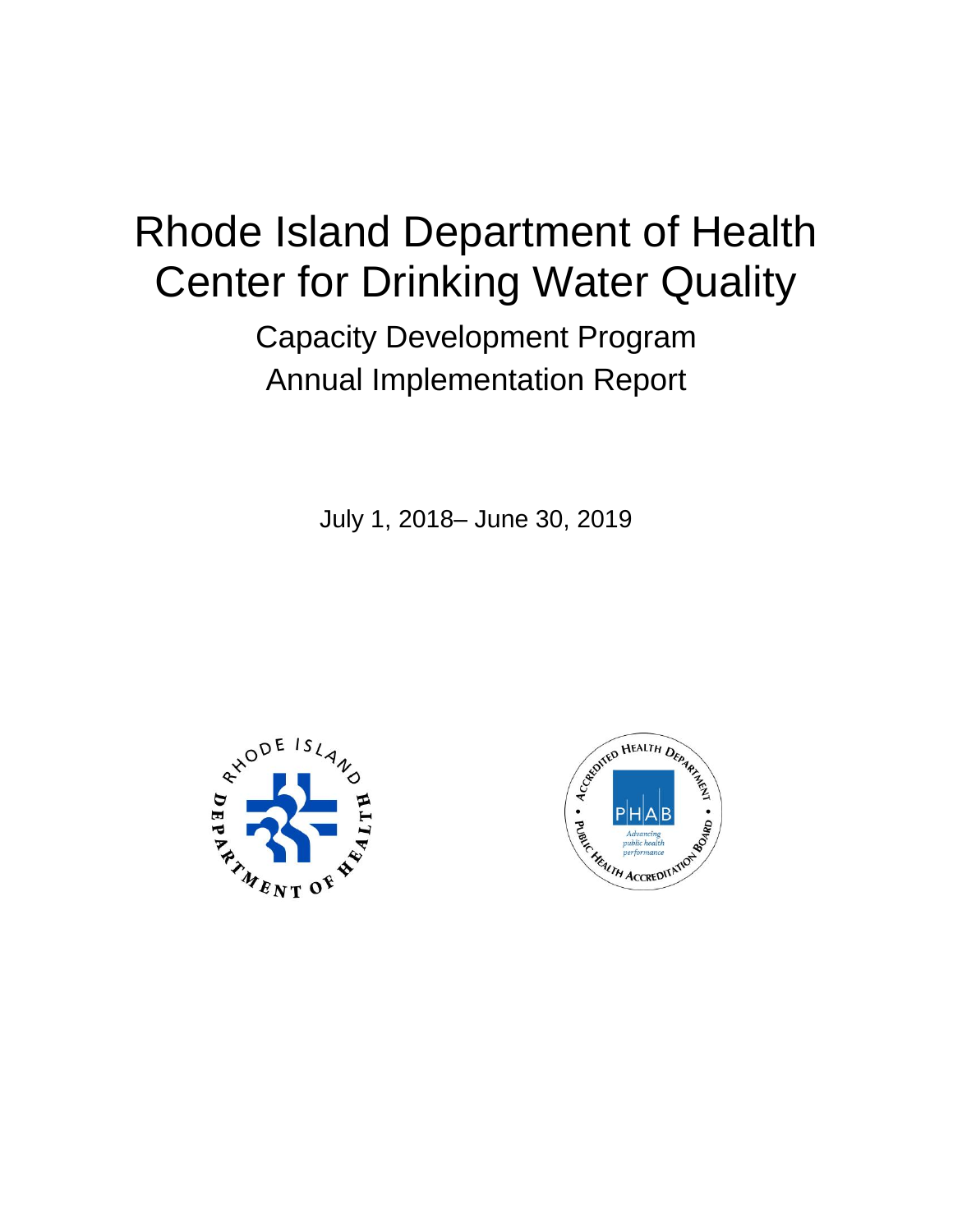# Rhode Island Department of Health Center for Drinking Water Quality

Capacity Development Program Annual Implementation Report

July 1, 2018– June 30, 2019



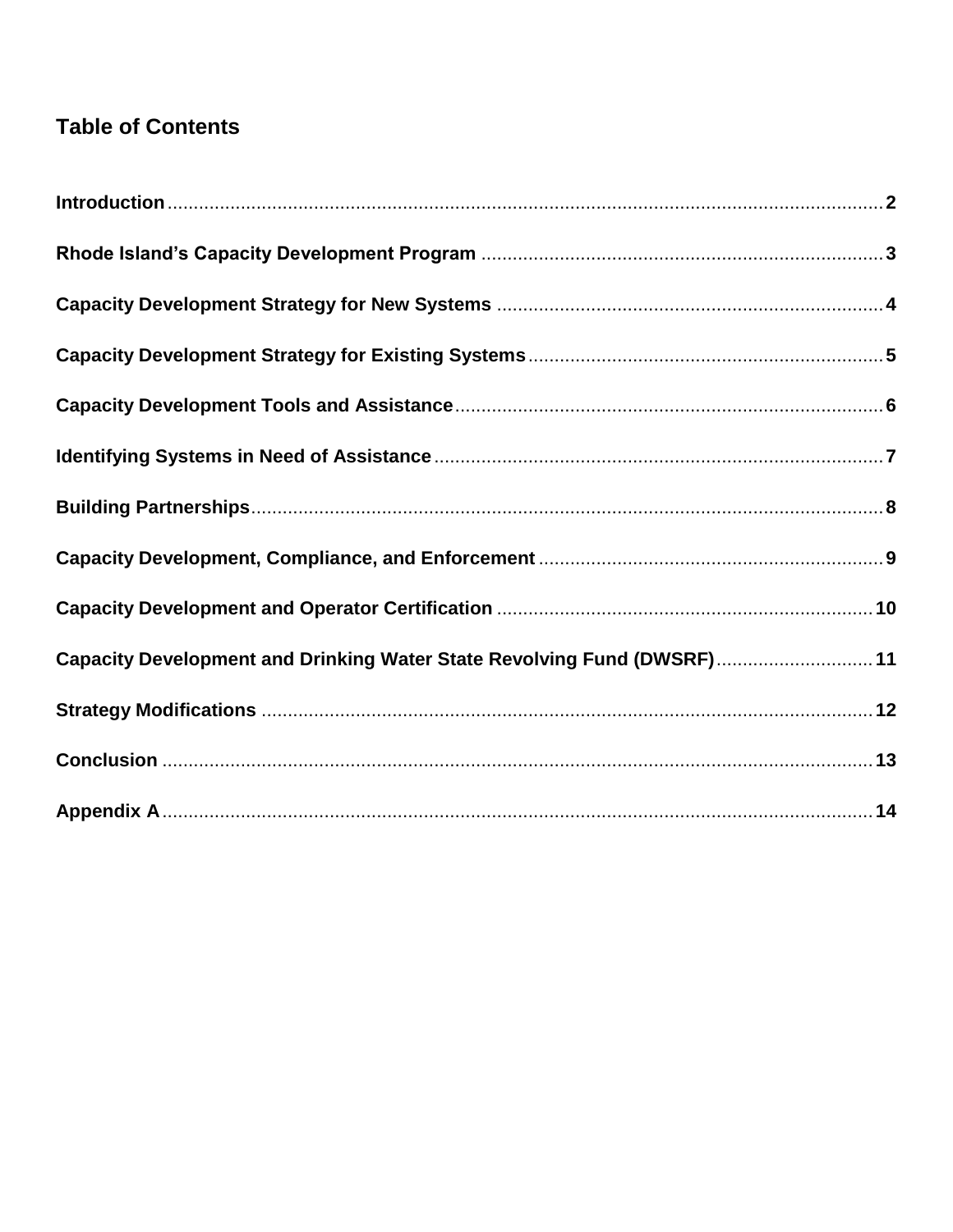# **Table of Contents**

| Capacity Development and Drinking Water State Revolving Fund (DWSRF) 11 |  |
|-------------------------------------------------------------------------|--|
|                                                                         |  |
|                                                                         |  |
|                                                                         |  |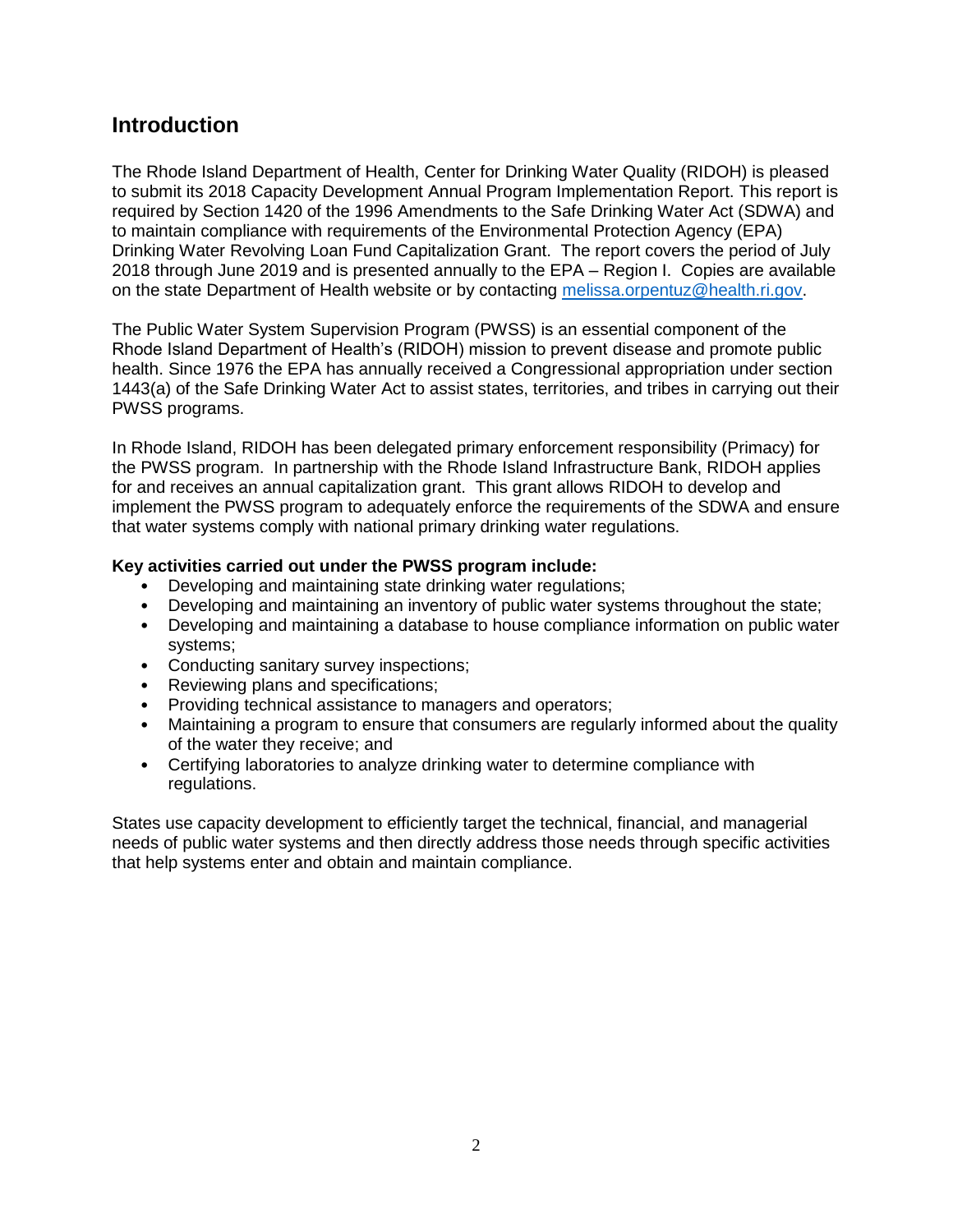#### **Introduction**

The Rhode Island Department of Health, Center for Drinking Water Quality (RIDOH) is pleased to submit its 2018 Capacity Development Annual Program Implementation Report. This report is required by Section 1420 of the 1996 Amendments to the Safe Drinking Water Act (SDWA) and to maintain compliance with requirements of the Environmental Protection Agency (EPA) Drinking Water Revolving Loan Fund Capitalization Grant. The report covers the period of July 2018 through June 2019 and is presented annually to the EPA – Region I. Copies are available on the state Department of Health website or by contacting [melissa.orpentuz@health.ri.gov.](mailto:melissa.orpentuz@health.ri.gov)

The Public Water System Supervision Program (PWSS) is an essential component of the Rhode Island Department of Health's (RIDOH) mission to prevent disease and promote public health. Since 1976 the EPA has annually received a Congressional appropriation under section 1443(a) of the Safe Drinking Water Act to assist states, territories, and tribes in carrying out their PWSS programs.

In Rhode Island, RIDOH has been delegated primary enforcement responsibility (Primacy) for the PWSS program. In partnership with the Rhode Island Infrastructure Bank, RIDOH applies for and receives an annual capitalization grant. This grant allows RIDOH to develop and implement the PWSS program to adequately enforce the requirements of the SDWA and ensure that water systems comply with national primary drinking water regulations.

#### **Key activities carried out under the PWSS program include:**

- Developing and maintaining state drinking water regulations;
- Developing and maintaining an inventory of public water systems throughout the state;
- Developing and maintaining a database to house compliance information on public water systems;
- Conducting sanitary survey inspections;
- Reviewing plans and specifications;
- Providing technical assistance to managers and operators;
- Maintaining a program to ensure that consumers are regularly informed about the quality of the water they receive; and
- Certifying laboratories to analyze drinking water to determine compliance with regulations.

States use capacity development to efficiently target the technical, financial, and managerial needs of public water systems and then directly address those needs through specific activities that help systems enter and obtain and maintain compliance.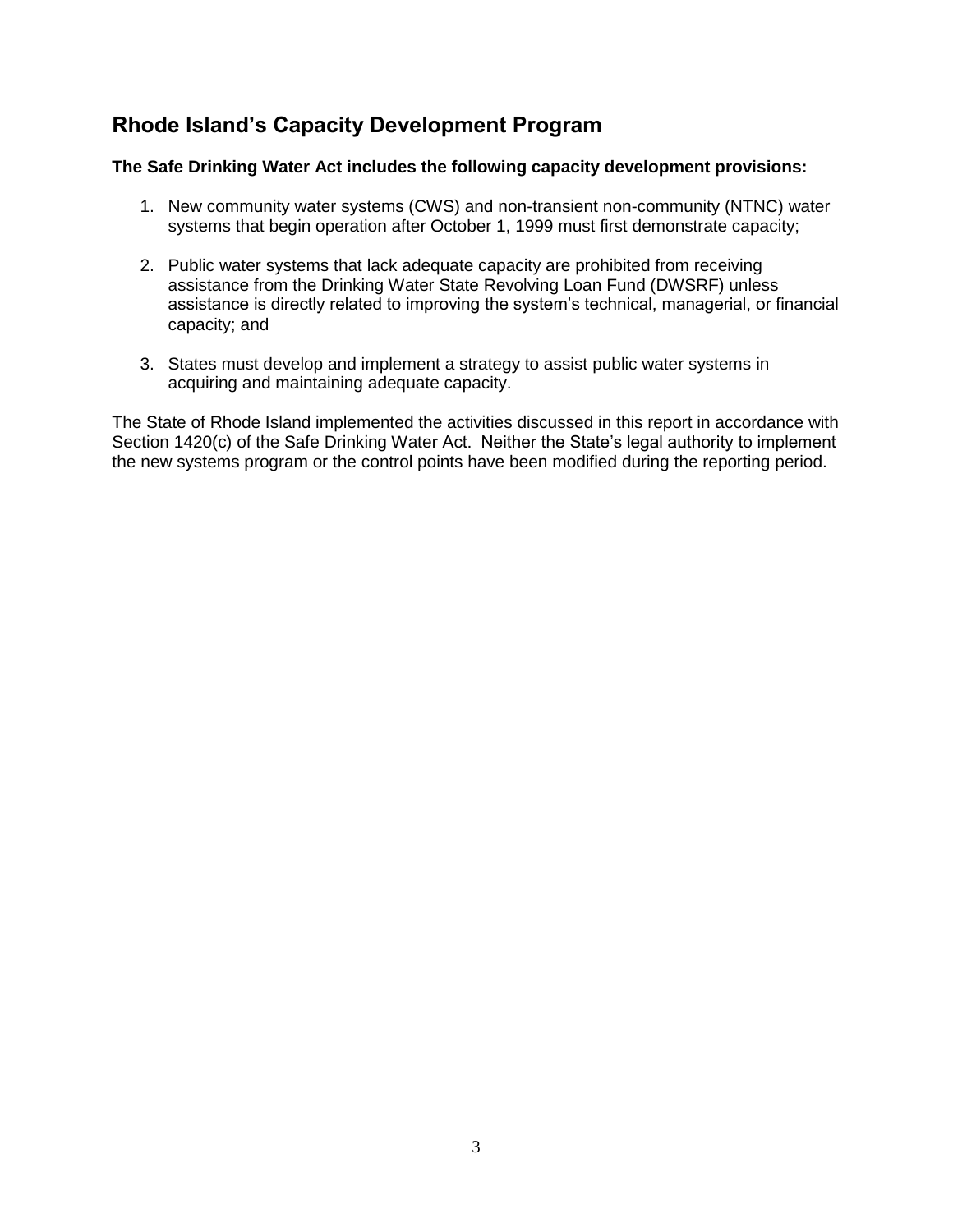#### **Rhode Island's Capacity Development Program**

#### **The Safe Drinking Water Act includes the following capacity development provisions:**

- 1. New community water systems (CWS) and non-transient non-community (NTNC) water systems that begin operation after October 1, 1999 must first demonstrate capacity;
- 2. Public water systems that lack adequate capacity are prohibited from receiving assistance from the Drinking Water State Revolving Loan Fund (DWSRF) unless assistance is directly related to improving the system's technical, managerial, or financial capacity; and
- 3. States must develop and implement a strategy to assist public water systems in acquiring and maintaining adequate capacity.

The State of Rhode Island implemented the activities discussed in this report in accordance with Section 1420(c) of the Safe Drinking Water Act. Neither the State's legal authority to implement the new systems program or the control points have been modified during the reporting period.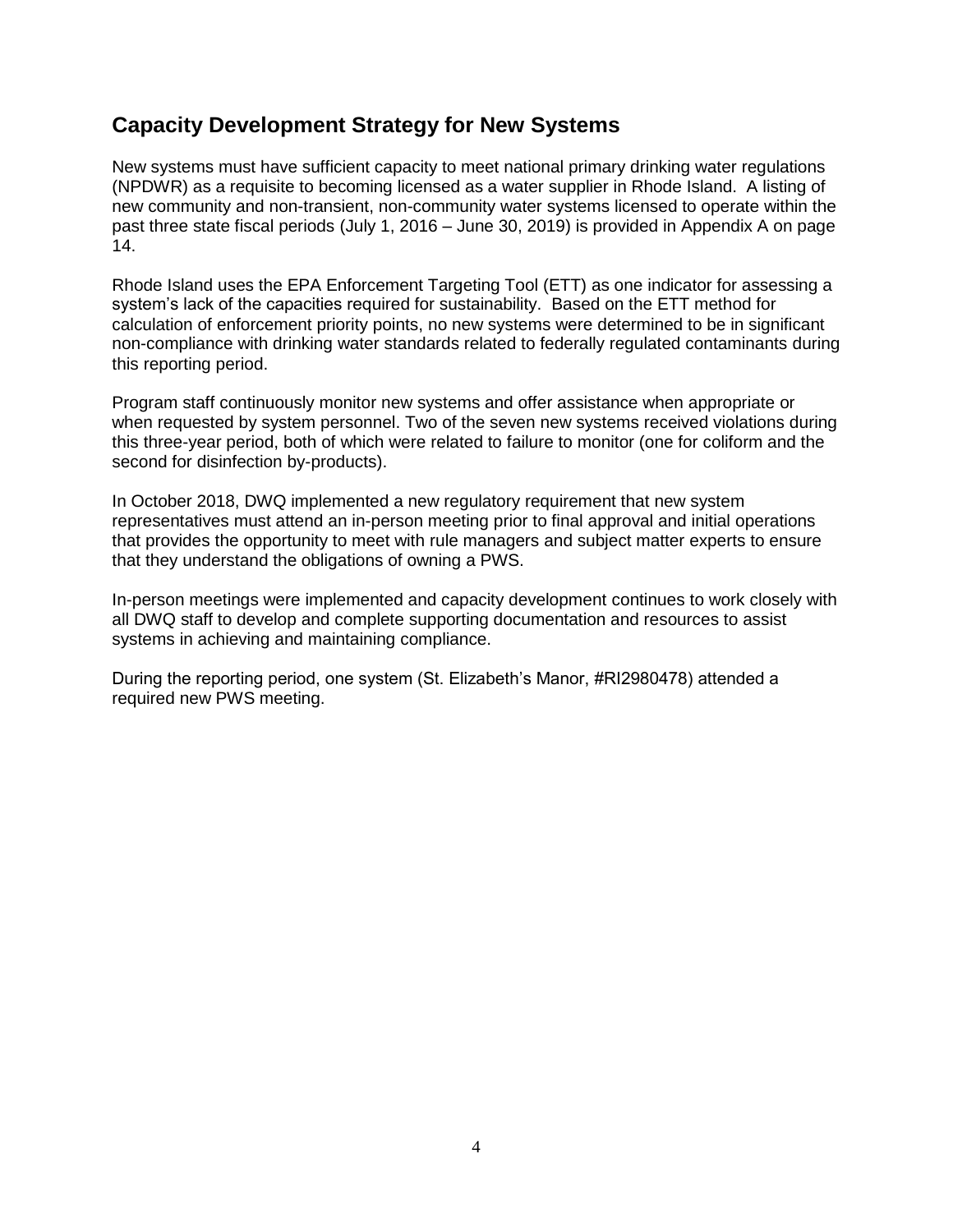#### **Capacity Development Strategy for New Systems**

New systems must have sufficient capacity to meet national primary drinking water regulations (NPDWR) as a requisite to becoming licensed as a water supplier in Rhode Island. A listing of new community and non-transient, non-community water systems licensed to operate within the past three state fiscal periods (July 1, 2016 – June 30, 2019) is provided in Appendix A on page 14.

Rhode Island uses the EPA Enforcement Targeting Tool (ETT) as one indicator for assessing a system's lack of the capacities required for sustainability. Based on the ETT method for calculation of enforcement priority points, no new systems were determined to be in significant non-compliance with drinking water standards related to federally regulated contaminants during this reporting period.

Program staff continuously monitor new systems and offer assistance when appropriate or when requested by system personnel. Two of the seven new systems received violations during this three-year period, both of which were related to failure to monitor (one for coliform and the second for disinfection by-products).

In October 2018, DWQ implemented a new regulatory requirement that new system representatives must attend an in-person meeting prior to final approval and initial operations that provides the opportunity to meet with rule managers and subject matter experts to ensure that they understand the obligations of owning a PWS.

In-person meetings were implemented and capacity development continues to work closely with all DWQ staff to develop and complete supporting documentation and resources to assist systems in achieving and maintaining compliance.

During the reporting period, one system (St. Elizabeth's Manor, #RI2980478) attended a required new PWS meeting.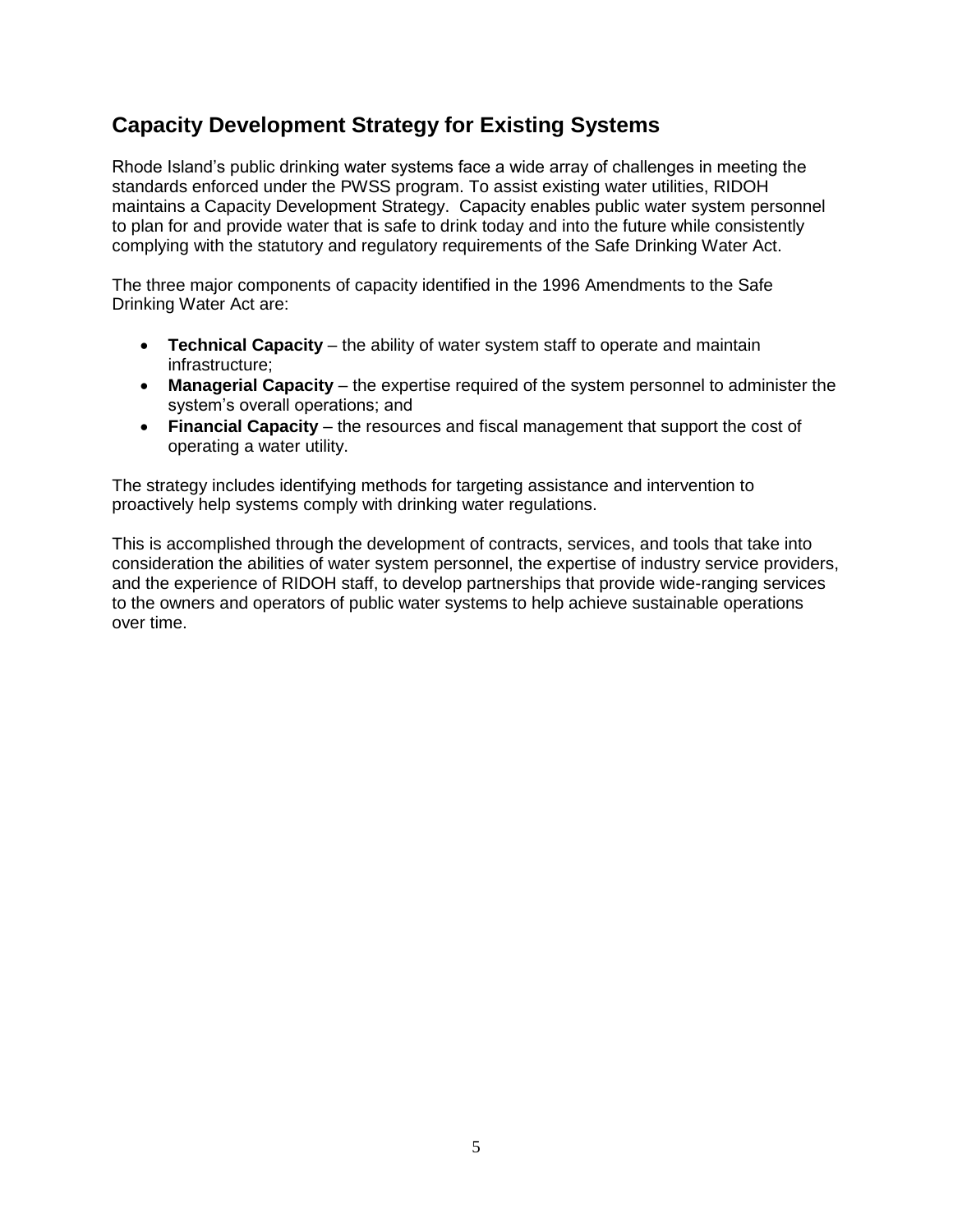#### **Capacity Development Strategy for Existing Systems**

Rhode Island's public drinking water systems face a wide array of challenges in meeting the standards enforced under the PWSS program. To assist existing water utilities, RIDOH maintains a Capacity Development Strategy. Capacity enables public water system personnel to plan for and provide water that is safe to drink today and into the future while consistently complying with the statutory and regulatory requirements of the Safe Drinking Water Act.

The three major components of capacity identified in the 1996 Amendments to the Safe Drinking Water Act are:

- **Technical Capacity** the ability of water system staff to operate and maintain infrastructure;
- **Managerial Capacity** the expertise required of the system personnel to administer the system's overall operations; and
- **Financial Capacity** the resources and fiscal management that support the cost of operating a water utility.

The strategy includes identifying methods for targeting assistance and intervention to proactively help systems comply with drinking water regulations.

This is accomplished through the development of contracts, services, and tools that take into consideration the abilities of water system personnel, the expertise of industry service providers, and the experience of RIDOH staff, to develop partnerships that provide wide-ranging services to the owners and operators of public water systems to help achieve sustainable operations over time.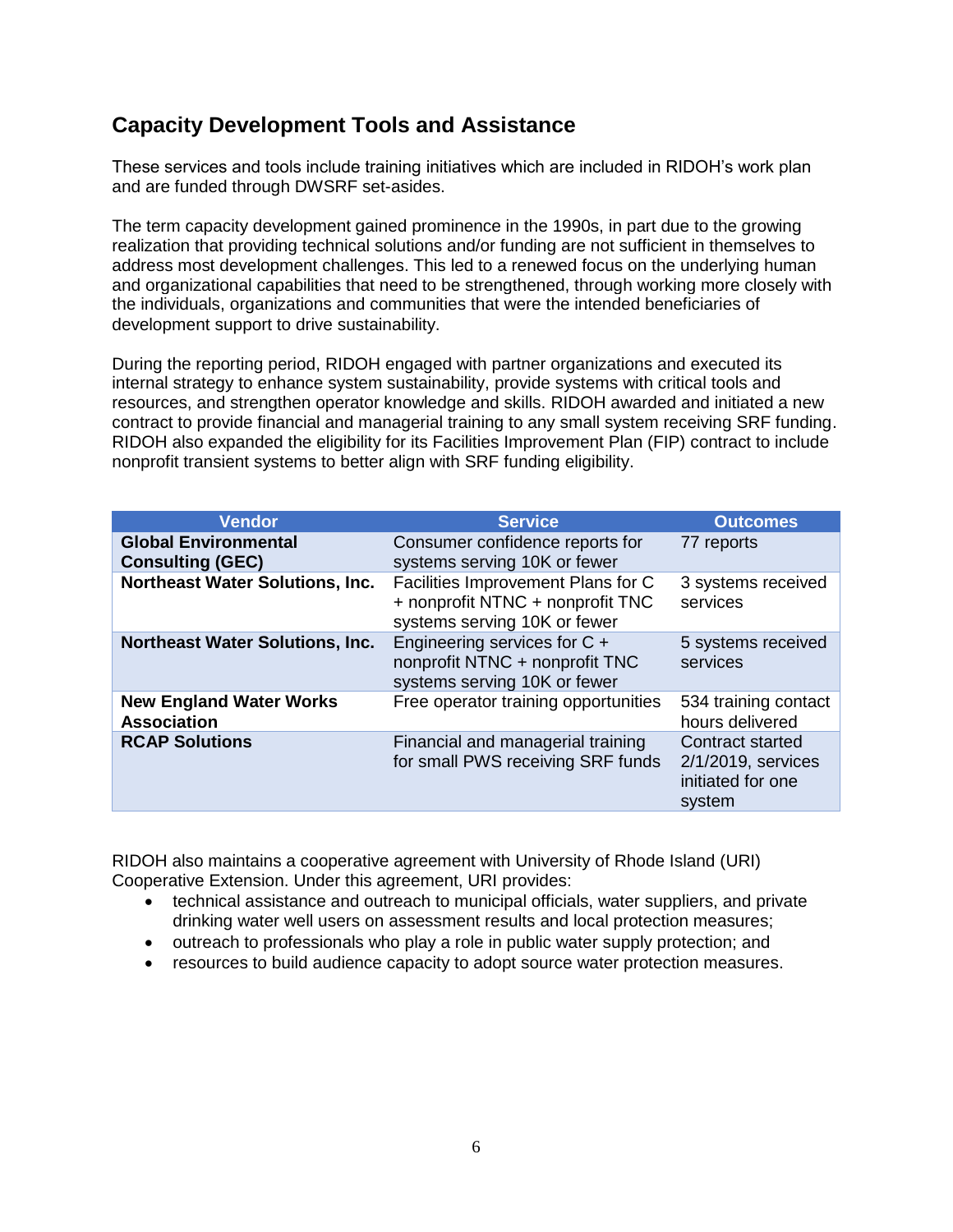#### **Capacity Development Tools and Assistance**

These services and tools include training initiatives which are included in RIDOH's work plan and are funded through DWSRF set-asides.

The term capacity development gained prominence in the 1990s, in part due to the growing realization that providing technical solutions and/or funding are not sufficient in themselves to address most development challenges. This led to a renewed focus on the underlying human and organizational capabilities that need to be strengthened, through working more closely with the individuals, organizations and communities that were the intended beneficiaries of development support to drive sustainability.

During the reporting period, RIDOH engaged with partner organizations and executed its internal strategy to enhance system sustainability, provide systems with critical tools and resources, and strengthen operator knowledge and skills. RIDOH awarded and initiated a new contract to provide financial and managerial training to any small system receiving SRF funding. RIDOH also expanded the eligibility for its Facilities Improvement Plan (FIP) contract to include nonprofit transient systems to better align with SRF funding eligibility.

| <b>Vendor</b>                                          | <b>Service</b>                                                                                         | <b>Outcomes</b>                                                       |
|--------------------------------------------------------|--------------------------------------------------------------------------------------------------------|-----------------------------------------------------------------------|
| <b>Global Environmental</b><br><b>Consulting (GEC)</b> | Consumer confidence reports for<br>systems serving 10K or fewer                                        | 77 reports                                                            |
| <b>Northeast Water Solutions, Inc.</b>                 | Facilities Improvement Plans for C<br>+ nonprofit NTNC + nonprofit TNC<br>systems serving 10K or fewer | 3 systems received<br>services                                        |
| <b>Northeast Water Solutions, Inc.</b>                 | Engineering services for C +<br>nonprofit NTNC + nonprofit TNC<br>systems serving 10K or fewer         | 5 systems received<br>services                                        |
| <b>New England Water Works</b><br><b>Association</b>   | Free operator training opportunities                                                                   | 534 training contact<br>hours delivered                               |
| <b>RCAP Solutions</b>                                  | Financial and managerial training<br>for small PWS receiving SRF funds                                 | Contract started<br>2/1/2019, services<br>initiated for one<br>system |

RIDOH also maintains a cooperative agreement with University of Rhode Island (URI) Cooperative Extension. Under this agreement, URI provides:

- technical assistance and outreach to municipal officials, water suppliers, and private drinking water well users on assessment results and local protection measures;
- outreach to professionals who play a role in public water supply protection; and
- resources to build audience capacity to adopt source water protection measures.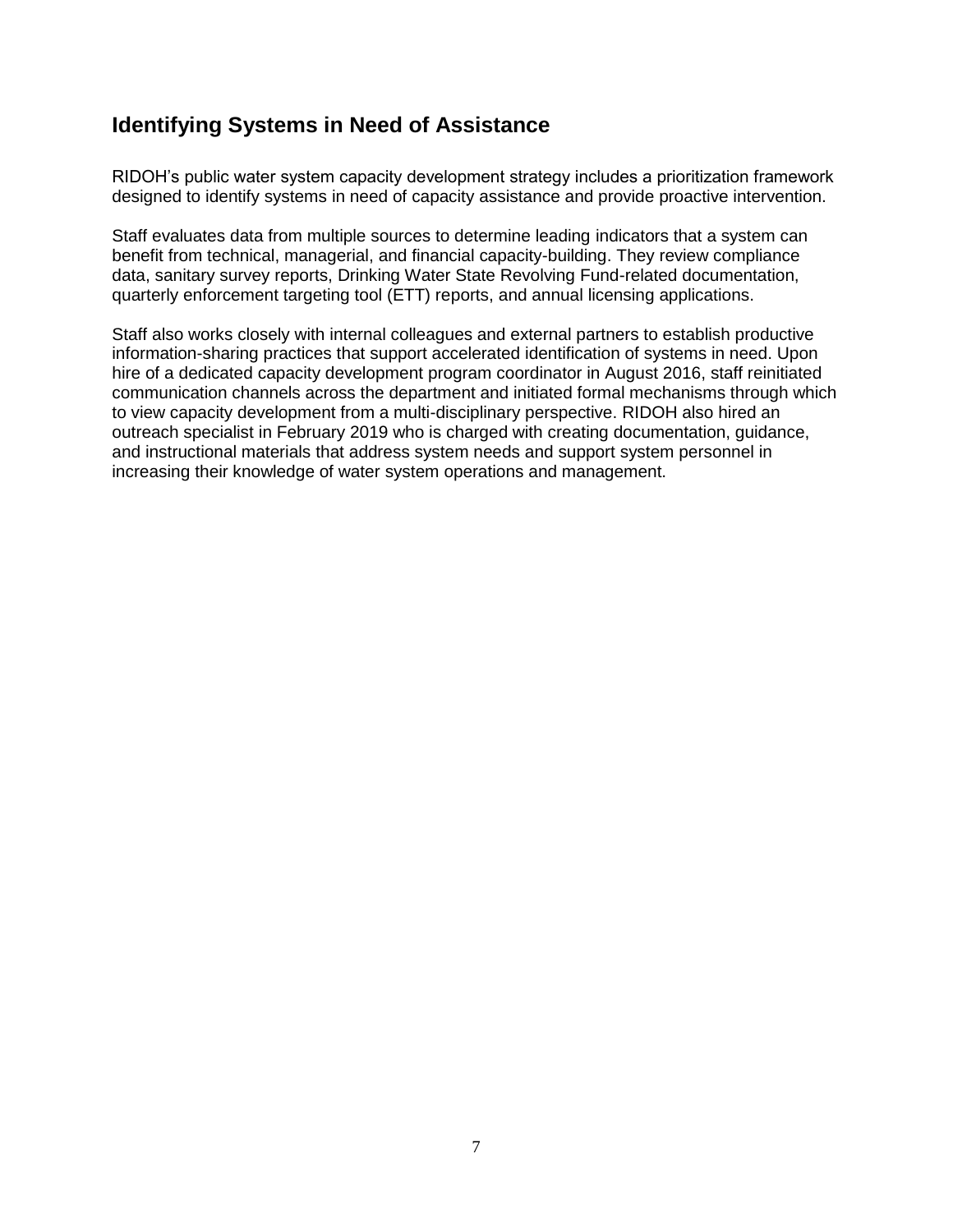#### **Identifying Systems in Need of Assistance**

RIDOH's public water system capacity development strategy includes a prioritization framework designed to identify systems in need of capacity assistance and provide proactive intervention.

Staff evaluates data from multiple sources to determine leading indicators that a system can benefit from technical, managerial, and financial capacity-building. They review compliance data, sanitary survey reports, Drinking Water State Revolving Fund-related documentation, quarterly enforcement targeting tool (ETT) reports, and annual licensing applications.

Staff also works closely with internal colleagues and external partners to establish productive information-sharing practices that support accelerated identification of systems in need. Upon hire of a dedicated capacity development program coordinator in August 2016, staff reinitiated communication channels across the department and initiated formal mechanisms through which to view capacity development from a multi-disciplinary perspective. RIDOH also hired an outreach specialist in February 2019 who is charged with creating documentation, guidance, and instructional materials that address system needs and support system personnel in increasing their knowledge of water system operations and management.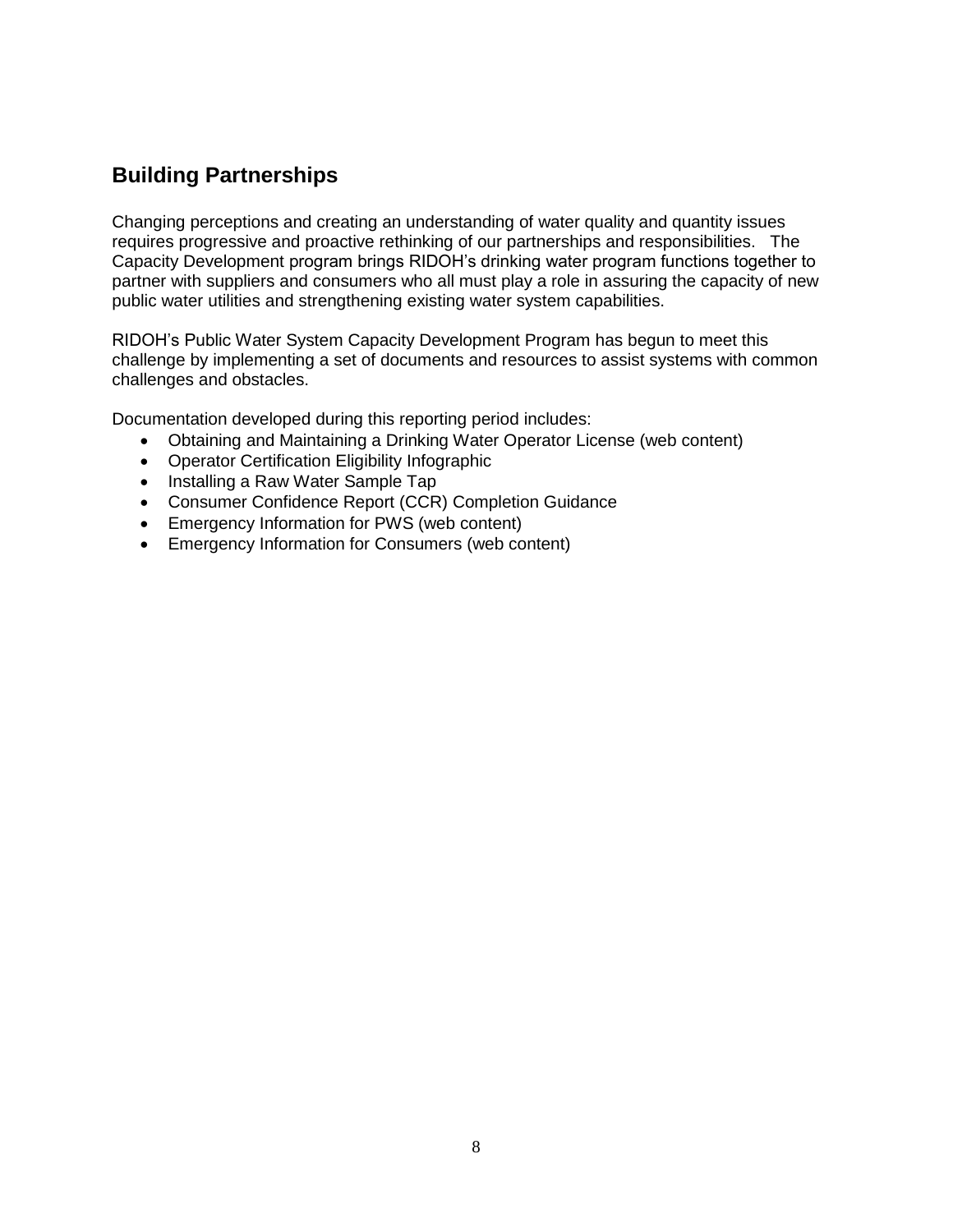## **Building Partnerships**

Changing perceptions and creating an understanding of water quality and quantity issues requires progressive and proactive rethinking of our partnerships and responsibilities. The Capacity Development program brings RIDOH's drinking water program functions together to partner with suppliers and consumers who all must play a role in assuring the capacity of new public water utilities and strengthening existing water system capabilities.

RIDOH's Public Water System Capacity Development Program has begun to meet this challenge by implementing a set of documents and resources to assist systems with common challenges and obstacles.

Documentation developed during this reporting period includes:

- Obtaining and Maintaining a Drinking Water Operator License (web content)
- Operator Certification Eligibility Infographic
- Installing a Raw Water Sample Tap
- Consumer Confidence Report (CCR) Completion Guidance
- Emergency Information for PWS (web content)
- Emergency Information for Consumers (web content)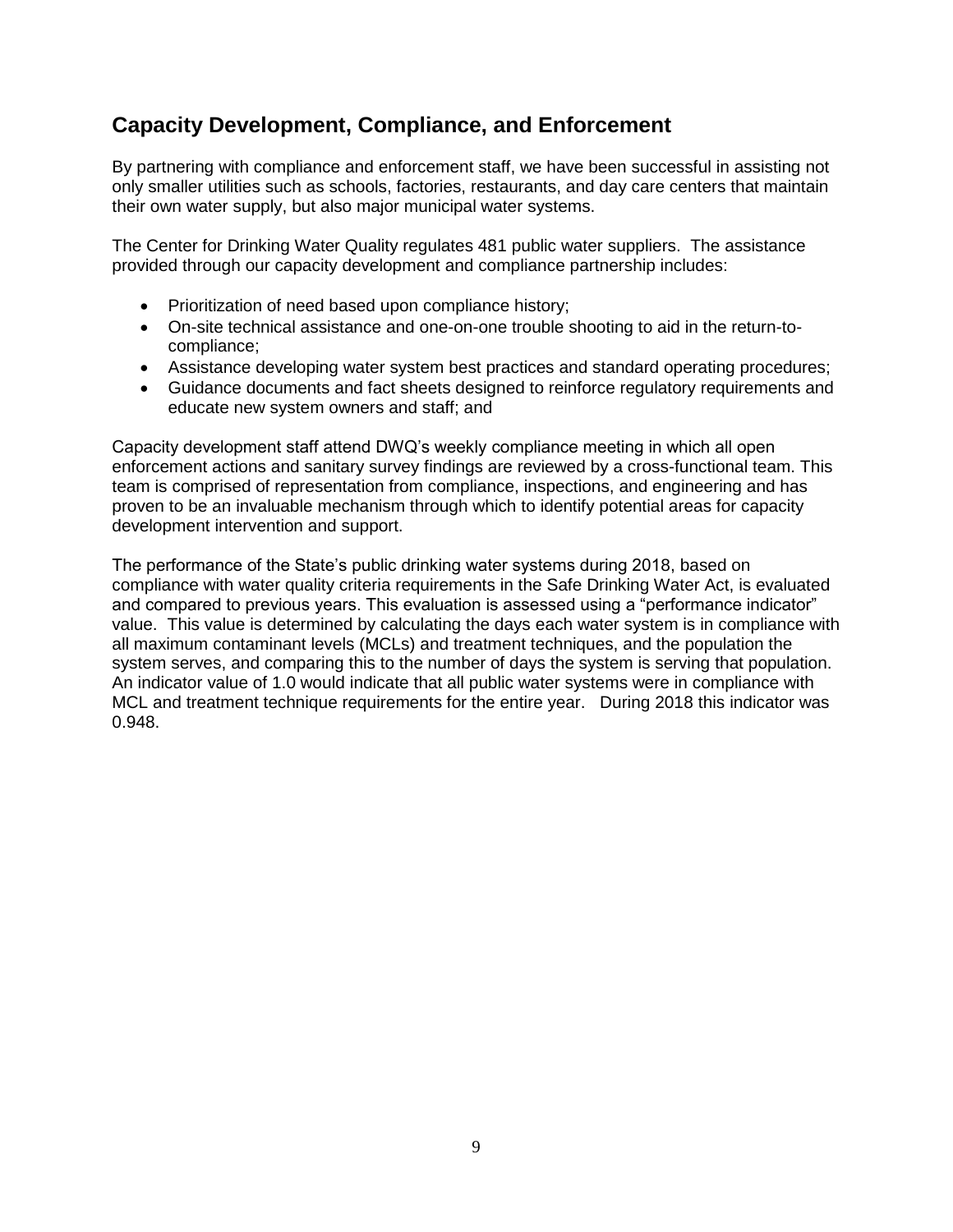### **Capacity Development, Compliance, and Enforcement**

By partnering with compliance and enforcement staff, we have been successful in assisting not only smaller utilities such as schools, factories, restaurants, and day care centers that maintain their own water supply, but also major municipal water systems.

The Center for Drinking Water Quality regulates 481 public water suppliers. The assistance provided through our capacity development and compliance partnership includes:

- Prioritization of need based upon compliance history;
- On-site technical assistance and one-on-one trouble shooting to aid in the return-tocompliance;
- Assistance developing water system best practices and standard operating procedures;
- Guidance documents and fact sheets designed to reinforce regulatory requirements and educate new system owners and staff; and

Capacity development staff attend DWQ's weekly compliance meeting in which all open enforcement actions and sanitary survey findings are reviewed by a cross-functional team. This team is comprised of representation from compliance, inspections, and engineering and has proven to be an invaluable mechanism through which to identify potential areas for capacity development intervention and support.

The performance of the State's public drinking water systems during 2018, based on compliance with water quality criteria requirements in the Safe Drinking Water Act, is evaluated and compared to previous years. This evaluation is assessed using a "performance indicator" value. This value is determined by calculating the days each water system is in compliance with all maximum contaminant levels (MCLs) and treatment techniques, and the population the system serves, and comparing this to the number of days the system is serving that population. An indicator value of 1.0 would indicate that all public water systems were in compliance with MCL and treatment technique requirements for the entire year. During 2018 this indicator was 0.948.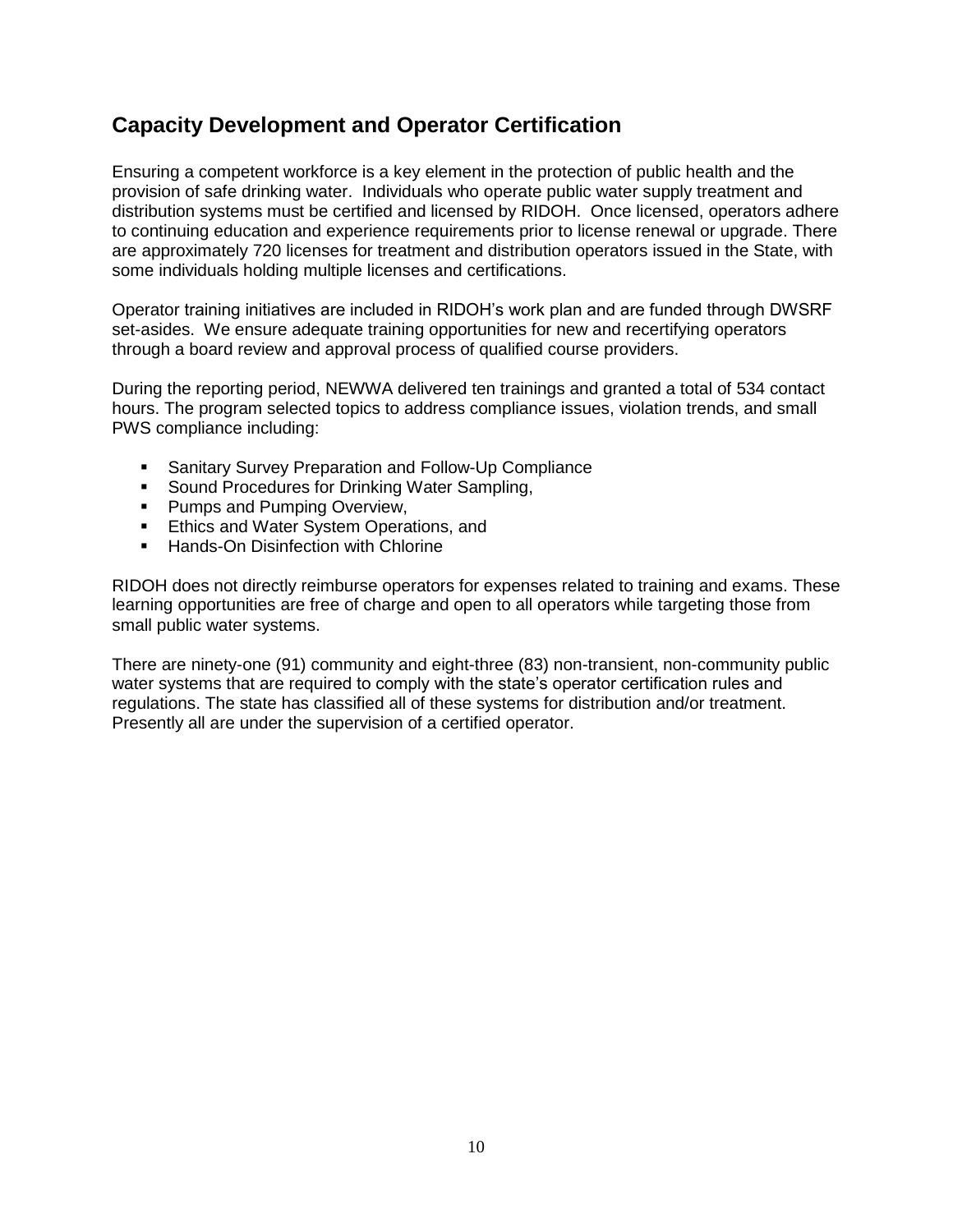#### **Capacity Development and Operator Certification**

Ensuring a competent workforce is a key element in the protection of public health and the provision of safe drinking water. Individuals who operate public water supply treatment and distribution systems must be certified and licensed by RIDOH. Once licensed, operators adhere to continuing education and experience requirements prior to license renewal or upgrade. There are approximately 720 licenses for treatment and distribution operators issued in the State, with some individuals holding multiple licenses and certifications.

Operator training initiatives are included in RIDOH's work plan and are funded through DWSRF set-asides. We ensure adequate training opportunities for new and recertifying operators through a board review and approval process of qualified course providers.

During the reporting period, NEWWA delivered ten trainings and granted a total of 534 contact hours. The program selected topics to address compliance issues, violation trends, and small PWS compliance including:

- Sanitary Survey Preparation and Follow-Up Compliance
- Sound Procedures for Drinking Water Sampling,
- **Pumps and Pumping Overview,**
- **Ethics and Water System Operations, and**
- Hands-On Disinfection with Chlorine

RIDOH does not directly reimburse operators for expenses related to training and exams. These learning opportunities are free of charge and open to all operators while targeting those from small public water systems.

There are ninety-one (91) community and eight-three (83) non-transient, non-community public water systems that are required to comply with the state's operator certification rules and regulations. The state has classified all of these systems for distribution and/or treatment. Presently all are under the supervision of a certified operator.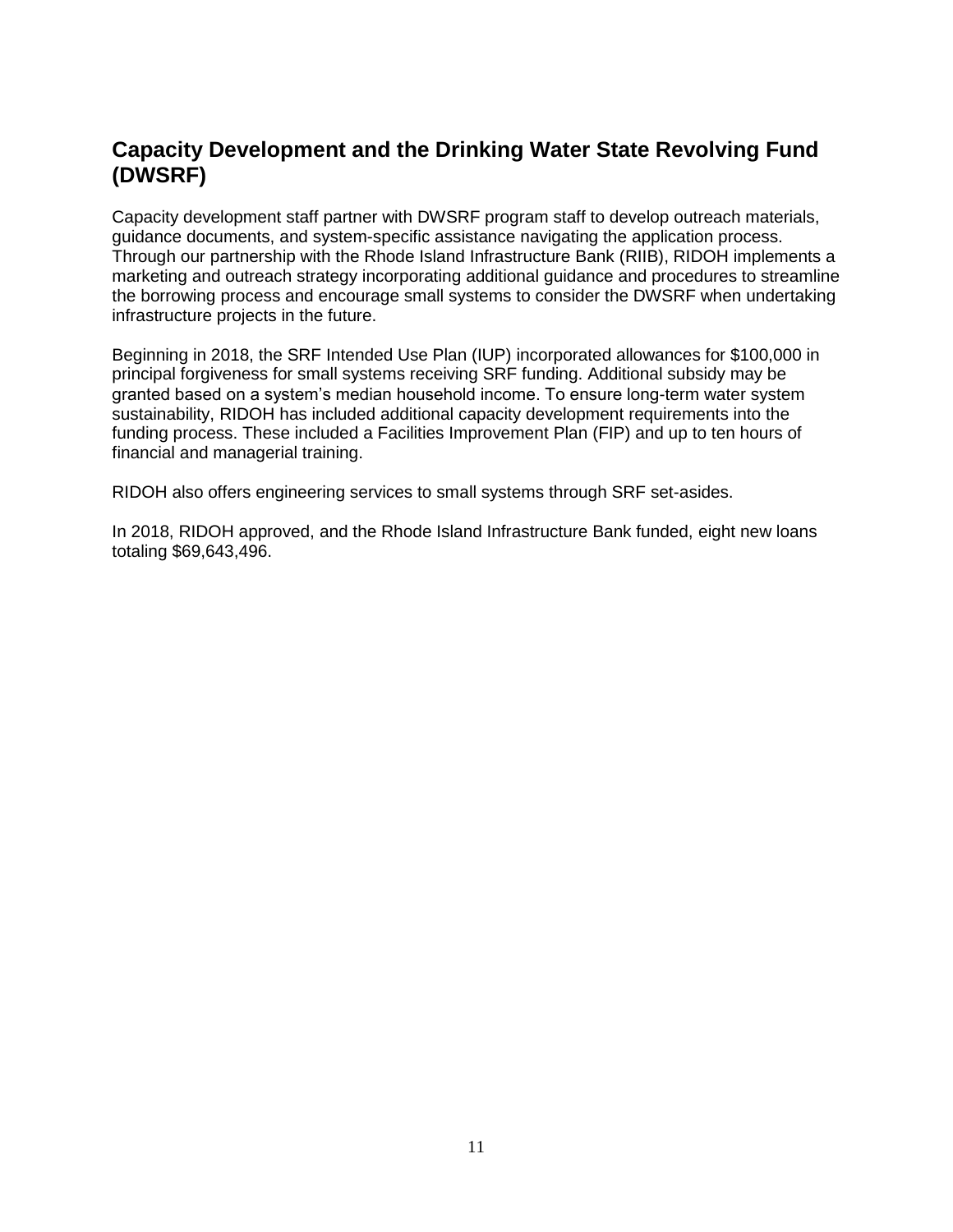#### **Capacity Development and the Drinking Water State Revolving Fund (DWSRF)**

Capacity development staff partner with DWSRF program staff to develop outreach materials, guidance documents, and system-specific assistance navigating the application process. Through our partnership with the Rhode Island Infrastructure Bank (RIIB), RIDOH implements a marketing and outreach strategy incorporating additional guidance and procedures to streamline the borrowing process and encourage small systems to consider the DWSRF when undertaking infrastructure projects in the future.

Beginning in 2018, the SRF Intended Use Plan (IUP) incorporated allowances for \$100,000 in principal forgiveness for small systems receiving SRF funding. Additional subsidy may be granted based on a system's median household income. To ensure long-term water system sustainability, RIDOH has included additional capacity development requirements into the funding process. These included a Facilities Improvement Plan (FIP) and up to ten hours of financial and managerial training.

RIDOH also offers engineering services to small systems through SRF set-asides.

In 2018, RIDOH approved, and the Rhode Island Infrastructure Bank funded, eight new loans totaling \$69,643,496.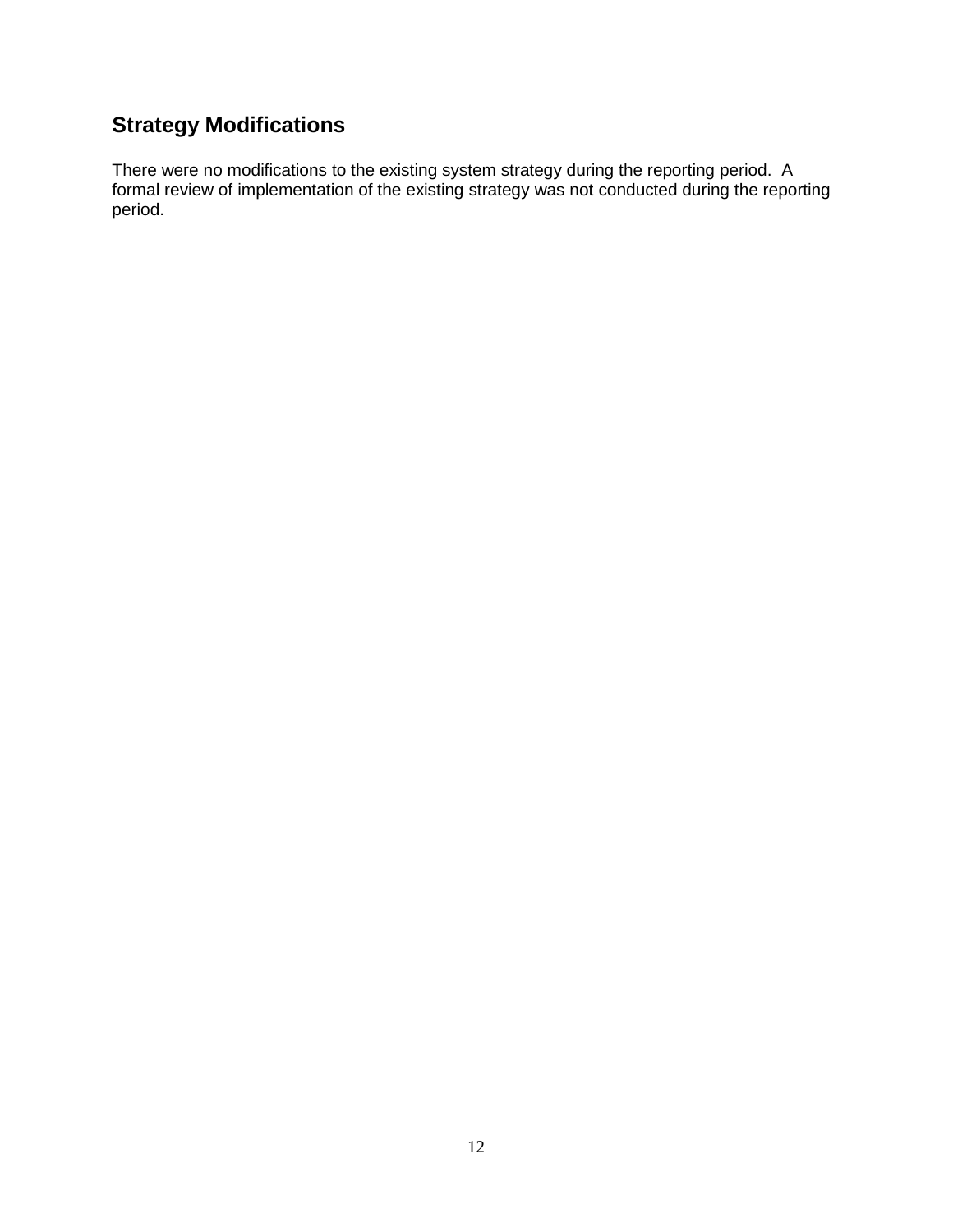## **Strategy Modifications**

There were no modifications to the existing system strategy during the reporting period. A formal review of implementation of the existing strategy was not conducted during the reporting period.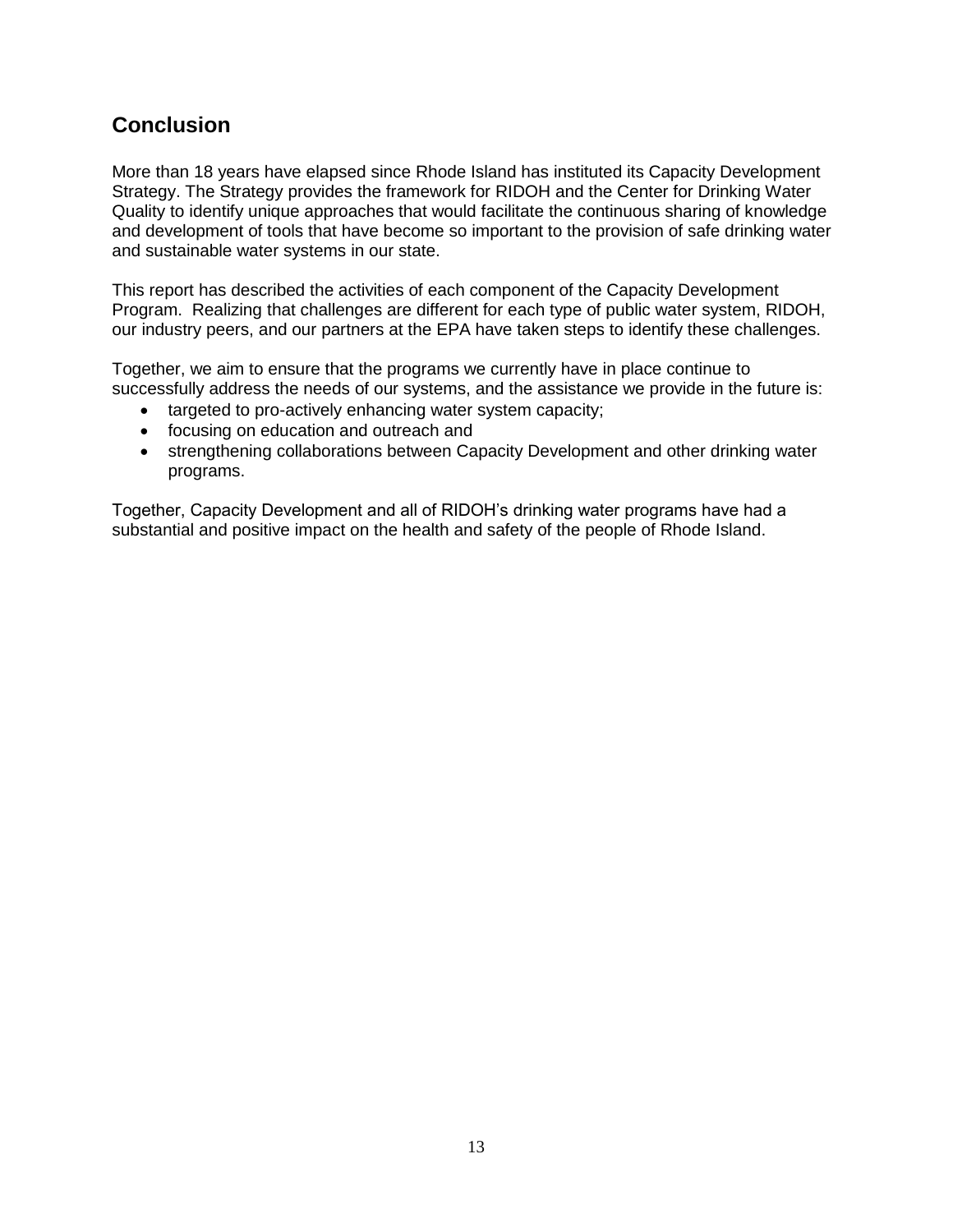#### **Conclusion**

More than 18 years have elapsed since Rhode Island has instituted its Capacity Development Strategy. The Strategy provides the framework for RIDOH and the Center for Drinking Water Quality to identify unique approaches that would facilitate the continuous sharing of knowledge and development of tools that have become so important to the provision of safe drinking water and sustainable water systems in our state.

This report has described the activities of each component of the Capacity Development Program. Realizing that challenges are different for each type of public water system, RIDOH, our industry peers, and our partners at the EPA have taken steps to identify these challenges.

Together, we aim to ensure that the programs we currently have in place continue to successfully address the needs of our systems, and the assistance we provide in the future is:

- targeted to pro-actively enhancing water system capacity;
- focusing on education and outreach and
- strengthening collaborations between Capacity Development and other drinking water programs.

Together, Capacity Development and all of RIDOH's drinking water programs have had a substantial and positive impact on the health and safety of the people of Rhode Island.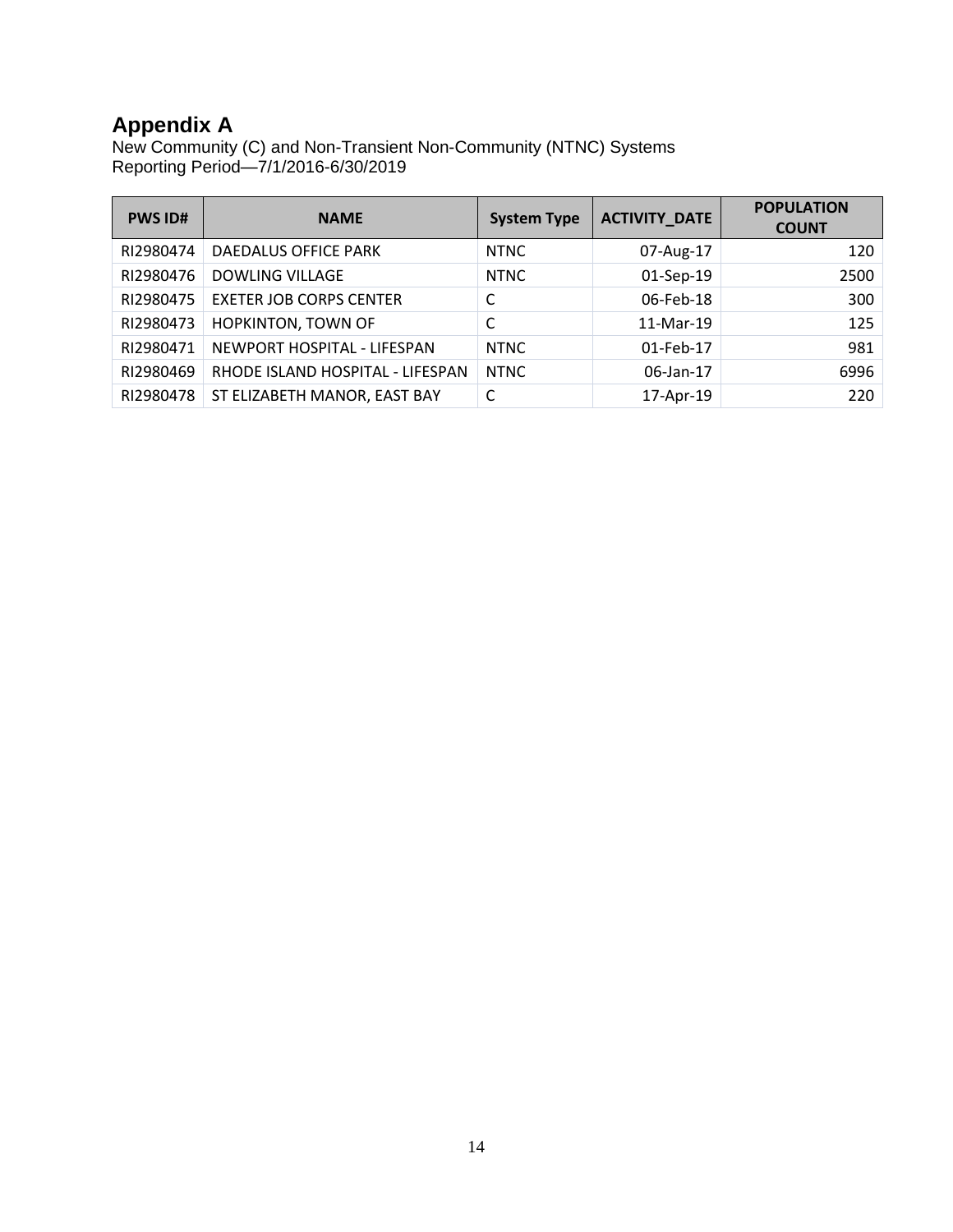### **Appendix A**

New Community (C) and Non-Transient Non-Community (NTNC) Systems Reporting Period—7/1/2016-6/30/2019

| <b>PWS ID#</b> | <b>NAME</b>                      | <b>System Type</b> | <b>ACTIVITY_DATE</b> | <b>POPULATION</b><br><b>COUNT</b> |
|----------------|----------------------------------|--------------------|----------------------|-----------------------------------|
| RI2980474      | DAEDALUS OFFICE PARK             | <b>NTNC</b>        | 07-Aug-17            | 120                               |
| RI2980476      | <b>DOWLING VILLAGE</b>           | <b>NTNC</b>        | 01-Sep-19            | 2500                              |
| RI2980475      | <b>EXETER JOB CORPS CENTER</b>   |                    | 06-Feb-18            | 300                               |
| RI2980473      | <b>HOPKINTON, TOWN OF</b>        | С                  | 11-Mar-19            | 125                               |
| RI2980471      | NEWPORT HOSPITAL - LIFESPAN      | <b>NTNC</b>        | 01-Feb-17            | 981                               |
| RI2980469      | RHODE ISLAND HOSPITAL - LIFESPAN | <b>NTNC</b>        | 06-Jan-17            | 6996                              |
| RI2980478      | ST ELIZABETH MANOR, EAST BAY     |                    | 17-Apr-19            | 220                               |